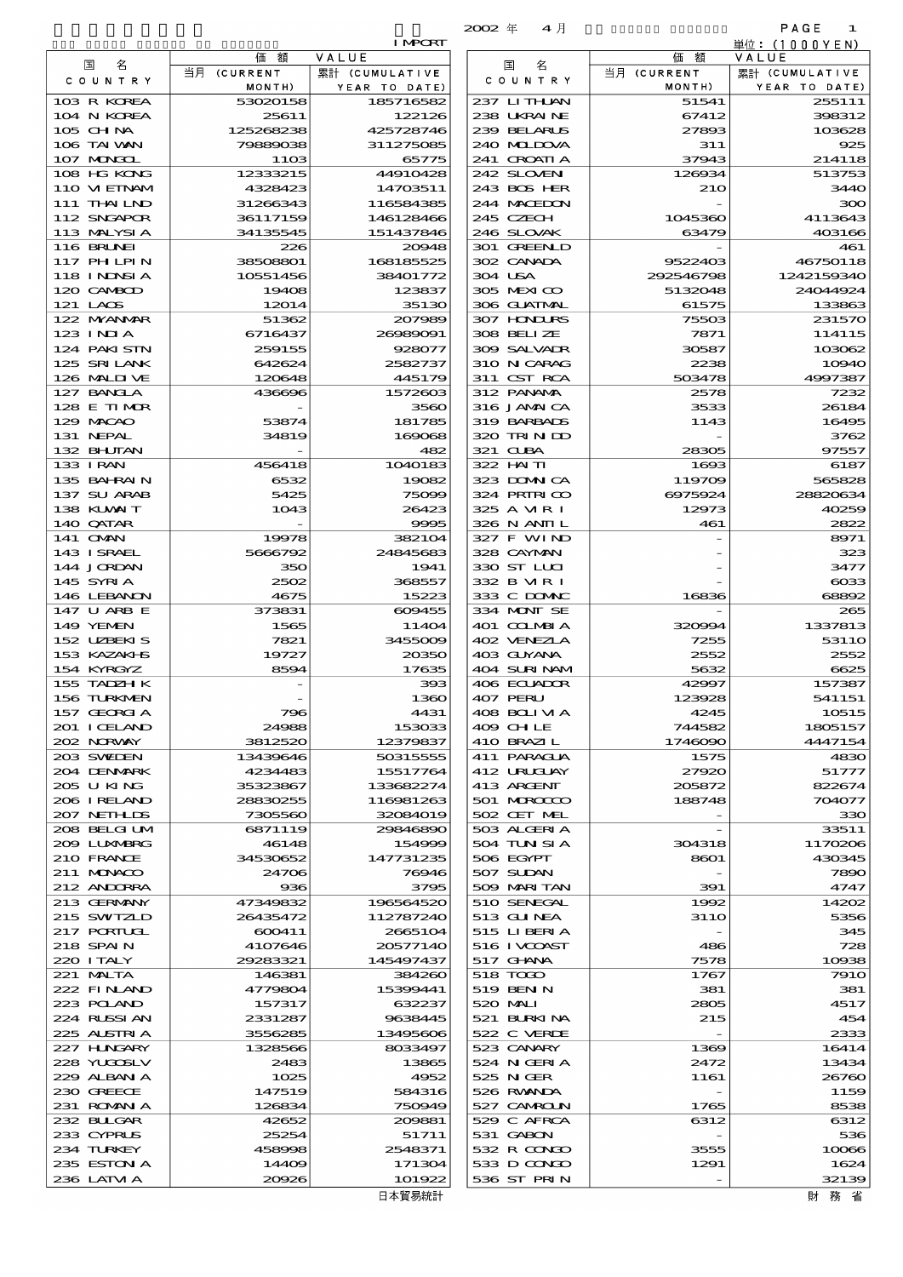|                             |                          | <b>I MPORT</b>         | $2002 +$<br>生月             |                     | <b>FAGE</b><br>$\blacksquare$ |
|-----------------------------|--------------------------|------------------------|----------------------------|---------------------|-------------------------------|
|                             | 額<br>価                   | VALUE                  |                            | 額<br>価              | 単位:(1000YEN)<br>VALUE         |
| 名<br>国                      | 当月 (CURRENT              | 累計 (CUMULATIVE         | 名<br>国                     | 当月 (CURRENT         | 累計 (CUMULATIVE                |
| C O U N T R Y               | MONTH)                   | YEAR TO DATE)          | C O U N T R Y              | MONTH)              | YEAR TO DATE)                 |
| 103 R KOREA                 | 53020158                 | 185716582              | 237 LITHAN                 | 51541               | 255111                        |
| 104 N KOREA                 | 25611                    | 122126                 | 238 UKRAINE                | 67412               | 398312                        |
| 105 CH NA<br>106 TAI WAN    | 125268238<br>79889038    | 425728746<br>311275085 | 239 BELARUS<br>240 MIDOVA  | 27893<br>311        | 103628<br>925                 |
| 107 MONGOL                  | <b>11OB</b>              | 65775                  | 241 CROATIA                | 37943               | 214118                        |
| 108 HG KONG                 | 12333215                 | 44910428               | 242 SLOVEN                 | 126934              | 513753                        |
| 110 VIEINAM                 | 4328423                  | 14703511               | 243 BOS HER                | 210                 | 3440                          |
| 111 THAILND                 | 31266343                 | 116584385              | 244 MACEDON                |                     | 300                           |
| 112 SNGAPOR                 | 36117159                 | 146128466              | 245 CZECH                  | 1045360             | 4113643                       |
| 113 MALYSIA                 | 34135545                 | 151437846              | 246 SLOVAK                 | 63479               | 403166                        |
| 116 BRUNEI<br>117 PHLPIN    | 226<br>38508801          | 20048<br>168185525     | 301 GREENLD<br>302 CANADA  | 9522403             | 461<br>46750118               |
| 118 I NINSI A               | 10551456                 | 38401772               | 304 USA                    | 292546798           | 1242159340                    |
| 120 CAMBOD                  | 19408                    | 123837                 | 305 MEXICO                 | 5132048             | 24044924                      |
| 121 LAOS                    | 12014                    | 35130                  | 306 GUATMAL                | 61575               | 133863                        |
| 122 MYANMAR                 | 51362                    | 207989                 | 307 HONDURS                | 75503               | 231570                        |
| 123 INIA                    | 6716437                  | 26989091               | 308 BELLZE                 | 7871                | 114115                        |
| 124 PAKISIN                 | 259155                   | 928077                 | 309 SALVALR                | 30587               | 103062                        |
| 125 SRILANK<br>126 MALINE   | 642624<br>120648         | 2582737<br>445179      | 310 N CARAG<br>311 CST RCA | 2238<br>503478      | 10940<br>4997387              |
| 127 BANCLA                  | 436696                   | 1572603                | 312 PANAMA                 | 2578                | 7232                          |
| 128 E TIMOR                 |                          | 3560                   | 316 JAMAICA                | 3533                | 26184                         |
| 129 MACAO                   | 53874                    | 181785                 | 319 BARBADS                | 1143                | 16495                         |
| 131 NEPAL                   | 34819                    | 169068                 | 320 TRINDO                 |                     | 3762                          |
| 132 BHUTAN                  | $\overline{\phantom{a}}$ | 482                    | 321 CLBA                   | 28305               | 97557                         |
| 133 I RAN<br>135 BAHRAIN    | 456418<br>6532           | 1040183<br>19082       | 322 HAITI<br>323 DOMNICA   | 1693<br>119709      | 6187<br>565828                |
| 137 SU ARAB                 | 5425                     | 75099                  | 324 PRIRICO                | 6975924             | 28820634                      |
| 138 KUWAIT                  | 1043                     | 26423                  | 325 A VIR I                | 12973               | 40259                         |
| 140 QATAR                   | $\overline{\phantom{a}}$ | 9995                   | 326 N ANII L               | 461                 | 2822                          |
| 141 OMN                     | 19978                    | 382104                 | 327 F WIND                 |                     | 8971                          |
| 143 ISRAEL<br>144 JORDAN    | 5666792<br>350           | 24845683<br>1941       | 328 CAYMAN<br>330 ST LUI   |                     | 323<br>3477                   |
| 145 SYRI A                  | 2502                     | 368557                 | 332 B MR I                 |                     | $\cos$                        |
| 146 LEBANON                 | 4675                     | 15223                  | 333 C DOMAC                | 16836               | 68892                         |
| 147 U ARB E                 | 373831                   | 609455                 | 334 MONT SE                |                     | 265                           |
| 149 YEMEN<br>152 UZBEKIS    | 1565                     | 11404<br>3455009       | 401 COLMBIA<br>402 VENEZIA | 320094              | 1337813<br>5311O              |
| 153 KAZAKI B                | 7821<br>19727            | 20350                  | 403 GUYANA                 | 7255<br>2552        | 2552                          |
| 154 KYRGYZ                  | 8594                     | 17635                  | 404 SURINAM                | 5632                | 6625                          |
| 155 TADZH K                 |                          | 393                    | 406 ECUADOR                | 42997               | 157387                        |
| 156 TURKMEN                 |                          | 1360                   | 407 PERU                   | 123928              | 541151                        |
| 157 GEORGIA<br>201 I CELAND | 796<br>24988             | 4431<br>153033         | 408 BOLIVIA<br>409 CH LE   | 4245<br>744582      | 10515<br>1805157              |
| 202 NORWAY                  | 3812520                  | 12379837               | 410 BRAZIL                 | 1746090             | 4447154                       |
| 203 SWIDEN                  | 13439646                 | 50315555               | 411 PARAGUA                | 1575                | 4830                          |
| 204 DENMARK                 | 4234483                  | 15517764               | 412 URUCUAY                | 27920               | 51777                         |
| 205 U KING                  | 35323867                 | 133682274              | 413 ARCENT                 | 205872              | 822674                        |
| 206 I RELAND                | 28830255                 | 116981263              | 501 MROCCO                 | 188748              | 704077                        |
| 207 NETHLIS<br>208 BELGI UM | 7305560<br>6871119       | 32084019<br>29846890   | 502 CET MEL<br>503 ALGERIA |                     | 330<br>33511                  |
| 2009 LUXMBRG                | 46148                    | 154999                 | 504 TUN SI A               | 304318              | 1170206                       |
| 210 FRANCE                  | 34530652                 | 147731235              | 506 EGYPT                  | 8601                | 430345                        |
| 211 MUNACO                  | 24706                    | 76946                  | 507 SUDAN                  |                     | 7890                          |
| 212 ANDORRA                 | 936                      | 3795                   | 509 MARITAN                | 391                 | 4747                          |
| 213 GERMANY<br>215 SWIZLD   | 47349832<br>26435472     | 196564520<br>112787240 | 510 SENEGAL<br>513 GUNEA   | 1992<br><b>311O</b> | 14202<br>5356                 |
| 217 PORTUGL                 | 600411                   | 2665104                | 515 LIBERIA                |                     | 345                           |
| 218 SPAIN                   | 4107646                  | 20577140               | 516 I VCOAST               | 486                 | 728                           |
| 220 I TALY                  | 29283321                 | 145497437              | 517 GHNA                   | 7578                | 10938                         |
| 221 MALTA                   | 146381                   | 384260                 | 518 TODO                   | 1767                | 791O                          |
| 222 FINAND                  | 4779804                  | 15399441               | 519 BEN N                  | 381                 | 381                           |
| 223 POLAND<br>224 RUSSI AN  | 157317<br>2331287        | 632237<br>9638445      | 520 MAI<br>521 BURKINA     | 2805<br>215         | 4517<br>454                   |
| 225 ALSTRIA                 | 3556285                  | 13495606               | 522 C VERDE                |                     | 2333                          |
| 227 H.NGARY                 | 1328566                  | 8033497                | 523 CANARY                 | 1369                | 16414                         |
| 228 YUGOSLV                 | 2483                     | 13865                  | 524 N GERIA                | 2472                | 13434                         |
| 229 ALBAN A                 | 1025                     | 4952                   | 525 NGER                   | 1161                | 26760                         |
| 230 GREECE                  | 147519                   | 584316                 | 526 RWANDA                 |                     | 1159                          |
| 231 ROMANIA                 | 126834                   | 750949                 | 527 CAMROLN                | 1765                | 8538                          |
| 232 BULGAR<br>233 CYPRUS    | 42652<br>25254           | 200881<br>51711        | 529 C AFRCA<br>531 GABON   | 6312                | 6312<br>536                   |
| 234 TURKEY                  | 458998                   | 2548371                | 532 R CONDO                | 3555                | 10066                         |
| 235 ESTON A                 | 14409                    | 171304                 | 533 D CONCO                | 1291                | 1624                          |
| 236 LATVI A                 | 20926                    | 101922                 | 536 ST PRIN                |                     | 32139                         |

|                            |                       |                        | 4月<br>$2002 \text{ } \#$   |                  | PAGE<br>$\blacksquare$ |
|----------------------------|-----------------------|------------------------|----------------------------|------------------|------------------------|
|                            |                       | <b>I MPORT</b>         |                            |                  | 単位:(1000YEN            |
| 名<br>国                     | 価額                    | VALUE                  | 国<br>名                     | 価額               | VALUE                  |
| C O U N T R Y              | 当月 (CURRENT           | 累計 (CUMULATIVE         | COUNTRY                    | 当月 (CURRENT      | 累計(CUMULATIVI          |
|                            | MONTH)                | YEAR TO DATE)          |                            | MONTH)           | YEAR TO DATI           |
| 103 R KOREA                | 53020158              | 185716582              | 237 LITHLAN                | 51541            | 25511                  |
| 104 N KOREA<br>105 CHNA    | 25611                 | 122126                 | 238 UKRAINE<br>239 BELARUS | 67412<br>27893   | 39831<br>10362         |
| 106 TAI VAN                | 125268238<br>79889038 | 425728746<br>311275085 | 240 MIDOVA                 | 311              | $\mathbf{R}$           |
| 107 MONGOL                 | 1103                  | 65775                  | 241 CROATIA                | 37943            | 21411                  |
| 108 HG KONG                | 12333215              | 44910428               | 242 SLOVEN                 | 126934           | 51375                  |
| 110 VIEINAM                | 4328423               | 14703511               | 243 BOS HER                | 21O              | 344                    |
| 111 THALND                 | 31266343              | 116584385              | 244 MACEDON                |                  | з                      |
| 112 SNGAPOR                | 36117159              | 146128466              | 245 CZECH                  | 1045360          | 411364                 |
| 113 MALYSIA                | 34135545              | 151437846              | 246 SLOVAK                 | 63479            | 40316                  |
| <b>116 BRUNEI</b>          | 226                   | 20048                  | 301 GREENLD                |                  | 46                     |
| 117 PH LPIN                | 38508801              | 168185525              | 302 CANADA                 | 9522403          | 4675011                |
| 118 INNSI A                | 10551456              | 38401772               | 304 USA                    | 292546798        | 124215934              |
| 120 CAMBOD                 | 19408                 | 123837                 | 305 MEXICO                 | 5132048          | 2404492                |
| 121 LAOS                   | 12014                 | 35130                  | 306 GUATMAL                | 61575            | 13386                  |
| 122 MYANMAR                | 51362                 | 207989                 | 307 HONDURS                | 75503            | 23157                  |
| 123 INIA                   | 6716437               | 26989091               | 308 BELIZE                 | 7871             | 11411                  |
| 124 PAKISTN                | 259155                | 928077                 | 309 SALVAIR                | 30587            | 10306                  |
| 125 SRILANK                | 642624                | 2582737                | 310 N CARAG                | 2238             | 1094                   |
| 126 MALINE                 | 120648                | 445179                 | 311 CST RCA                | 503478           | 499738                 |
| 127 BANCLA                 | 436696                | 1572603                | 312 PANAMA                 | 2578             | 723                    |
| 128 E TIMOR                |                       | 3560                   | 316 JAMAICA                | 3533             | 2618                   |
| 129 MACAO                  | 53874                 | 181785                 | 319 BARBADS                | 1143             | 1649                   |
| 131 NEPAL                  | 34819                 | 169068                 | 320 TRINDO                 |                  | 376                    |
| 132 BHUTAN                 |                       | 482                    | 321 CLBA                   | 28305            | 9755                   |
| 133 I RAN                  | 456418                | 1040183                | 322 HAITI                  | 1693             | 618                    |
| 135 BAHRAIN                | 6532                  | 19082                  | 323 DOMNICA                | 119709           | 56582                  |
| 137 SU ARAB                | 5425                  | 75099                  | 324 PRIRICO                | 6975924          | 2882063                |
| 138 KUWAIT<br>140 QATAR    | 1043                  | 26423<br>9995          | 325 A MR I<br>326 N ANII L | 12973<br>461     | 4025<br>282            |
| 141 <b>OMN</b>             | 19978                 | 382104                 | 327 F WIND                 |                  | 897                    |
| 143 ISRAEL                 | 5666792               | 24845683               | 328 CAYMAN                 |                  | 32                     |
| 144 JORDAN                 | 350                   | 1941                   | 330 ST LLCI                |                  | 347                    |
| 145 SYRIA                  | 2502                  | 368557                 | 332 B MR I                 |                  | $\infty$               |
| 146 LEBANON                | 4675                  | 15223                  | 333 C DOMAC                | 16836            | 6885                   |
| 147 U ARB E                | 373831                | 609455                 | 334 MONT SE                |                  | $\alpha$               |
| 149 YEMEN                  | 1565                  | 11404                  | 401 COLMBIA                | 320994           | 133781                 |
| 152 UZBEKIS                | 7821                  | 3455009                | 402 VENEZIA                | 7255             | 5311                   |
| 153 KAZAKI B               | 19727                 | 20350                  | 403 GUYANA                 | 2552             | 255                    |
| 154 KYRGYZ                 | 8594                  | 17635                  | 404 SURINAM                | 5632             | 662                    |
| 155 TADZH K                |                       | 393                    | 406 ECUADOR                | 42997            | 15738                  |
| 156 TURKMEN                |                       | 1360                   | 407 PERU                   | 123928           | 54115                  |
| 157 GEORGIA                | 796                   | 4431                   | 408 BOLIMA                 | 4245             | 1051                   |
| 201 ICELAND                | 24988                 | 153033                 | 409 CHLE                   | 744582           | 180515                 |
| 202 NORWAY                 | 3812520               | 12379837               | 410 BRAZIL                 | 1746090          | 444715                 |
| 203 SWIEN                  | 13439646              | 50315555               | 411 PARAGUA                | 1575             | 483                    |
| 204 DENMARK                | 4234483               | 15517764               | 412 URUGUAY                | 27920            | 5177<br>82267          |
| 205 U KING<br>206 I RELAND | 35323867<br>28830255  | 133682274              | 413 ARGENT<br>501 MROCCO   | 205872<br>188748 | 70407                  |
| 207 NETH LIS               | 7305560               | 116981263<br>32084019  | 502 CET MEL                |                  |                        |
| 208 BELGI UM               | 6871119               | 29846890               | 503 ALGERIA                |                  | æ<br>3351              |
| 2009 LUNABRG               | 46148                 | 154999                 | 504 TUN SI A               | 304318           | 117020                 |
| 210 FRANCE                 | 34530652              | 147731235              | 506 EGYPT                  | 8601             | 4303                   |
| 211 MUNACO                 | 24706                 | 76946                  | 507 SUDAN                  |                  | 785                    |
| 212 ANDORRA                | 936                   | 3795                   | 509 MARI TAN               | 391              | 474                    |
| 213 GERMANY                | 47349832              | 196564520              | 510 SENEGAL                | 1992             | 1420                   |
| 215 SWIZLD                 | 26435472              | 112787240              | 513 GUNEA                  | 31 1 O           | 535                    |
| 217 PORTUCL                | 600411                | 2665104                | 515 LIBERIA                |                  | 34                     |
| 218 SPAIN                  | 4107646               | 20577140               | 516 I VCOAST               | 486              | 72                     |
| 220 I TALY                 | 29283321              | 145497437              | 517 GHNA                   | 7578             | 1000                   |
| 221 MALTA                  | 146381                | 384260                 | 518 TODO                   | 1767             | 791                    |
| 222 FINAND                 | 4779804               | 15399441               | 519 BEN N                  | 381              | Э                      |
| 223 POLAND                 | 157317                | 632237                 | 520 MAI                    | 2805             | 451                    |
| 224 RUSSI AN               | 2331287               | 9638445                | 521 BURKINA                | 215              | 45                     |
| 225 ALSTRIA                | 3556285               | 13495606               | 522 C VERDE                |                  | 233                    |
| 227 H.NGARY                | 1328566               | 8033497                | 523 CANARY                 | 1369             | 1641                   |
| 228 YUQOSLV                | 2483                  | 13865                  | 524 N GERIA                | 2472             | 1343                   |
| 229 ALBAN A                | 1025                  | 4952                   | 525 N GER                  | 1161             | 2676                   |
| 230 GREECE                 | 147519                | 584316                 | 526 RWANDA                 |                  | 115                    |
| 231 ROMANIA                | 126834<br>42652       | 750949<br>200881       | 527 CAMROLN                | 1765<br>6312     | 853<br>631             |
| 232 BULGAR<br>233 CYPRUS   | 25254                 | 51711                  | 529 C AFRCA<br>531 GABON   |                  | 53                     |
| 234 TURKEY                 | 458998                | 2548371                | 532 R CONDO                | 3555             | 1000                   |
| 235 ESTON A                | 14409                 | 171304                 | 533 D CONDO                | 1291             | 162                    |
|                            |                       |                        |                            |                  |                        |

日本貿易統計